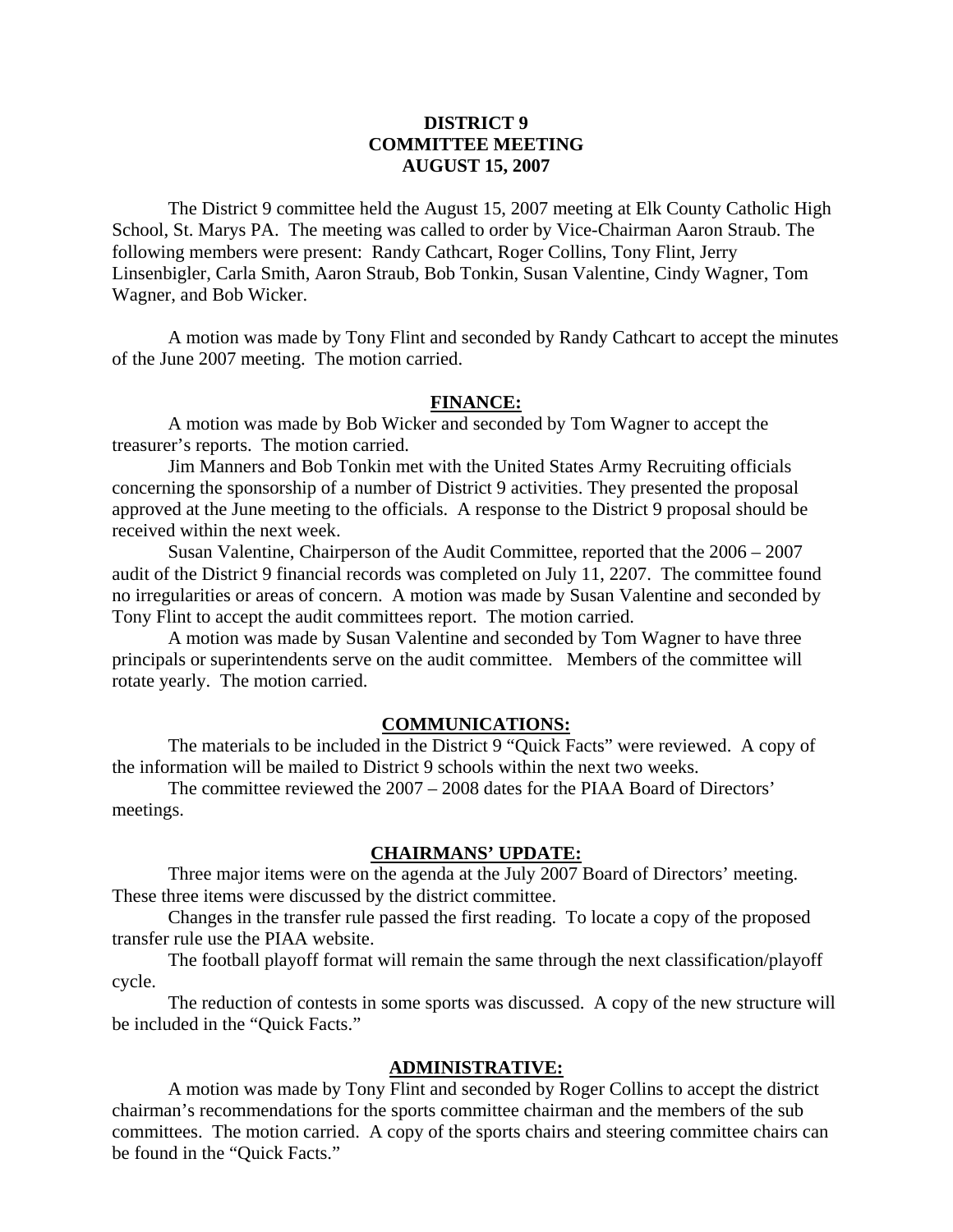## **DISTRICT 9 COMMITTEE MEETING AUGUST 15, 2007**

 The District 9 committee held the August 15, 2007 meeting at Elk County Catholic High School, St. Marys PA. The meeting was called to order by Vice-Chairman Aaron Straub. The following members were present: Randy Cathcart, Roger Collins, Tony Flint, Jerry Linsenbigler, Carla Smith, Aaron Straub, Bob Tonkin, Susan Valentine, Cindy Wagner, Tom Wagner, and Bob Wicker.

 A motion was made by Tony Flint and seconded by Randy Cathcart to accept the minutes of the June 2007 meeting. The motion carried.

### **FINANCE:**

A motion was made by Bob Wicker and seconded by Tom Wagner to accept the treasurer's reports. The motion carried.

 Jim Manners and Bob Tonkin met with the United States Army Recruiting officials concerning the sponsorship of a number of District 9 activities. They presented the proposal approved at the June meeting to the officials. A response to the District 9 proposal should be received within the next week.

 Susan Valentine, Chairperson of the Audit Committee, reported that the 2006 – 2007 audit of the District 9 financial records was completed on July 11, 2207. The committee found no irregularities or areas of concern. A motion was made by Susan Valentine and seconded by Tony Flint to accept the audit committees report. The motion carried.

 A motion was made by Susan Valentine and seconded by Tom Wagner to have three principals or superintendents serve on the audit committee. Members of the committee will rotate yearly. The motion carried.

#### **COMMUNICATIONS:**

 The materials to be included in the District 9 "Quick Facts" were reviewed. A copy of the information will be mailed to District 9 schools within the next two weeks.

 The committee reviewed the 2007 – 2008 dates for the PIAA Board of Directors' meetings.

#### **CHAIRMANS' UPDATE:**

Three major items were on the agenda at the July 2007 Board of Directors' meeting. These three items were discussed by the district committee.

Changes in the transfer rule passed the first reading. To locate a copy of the proposed transfer rule use the PIAA website.

The football playoff format will remain the same through the next classification/playoff cycle.

The reduction of contests in some sports was discussed. A copy of the new structure will be included in the "Quick Facts."

#### **ADMINISTRATIVE:**

 A motion was made by Tony Flint and seconded by Roger Collins to accept the district chairman's recommendations for the sports committee chairman and the members of the sub committees. The motion carried. A copy of the sports chairs and steering committee chairs can be found in the "Quick Facts."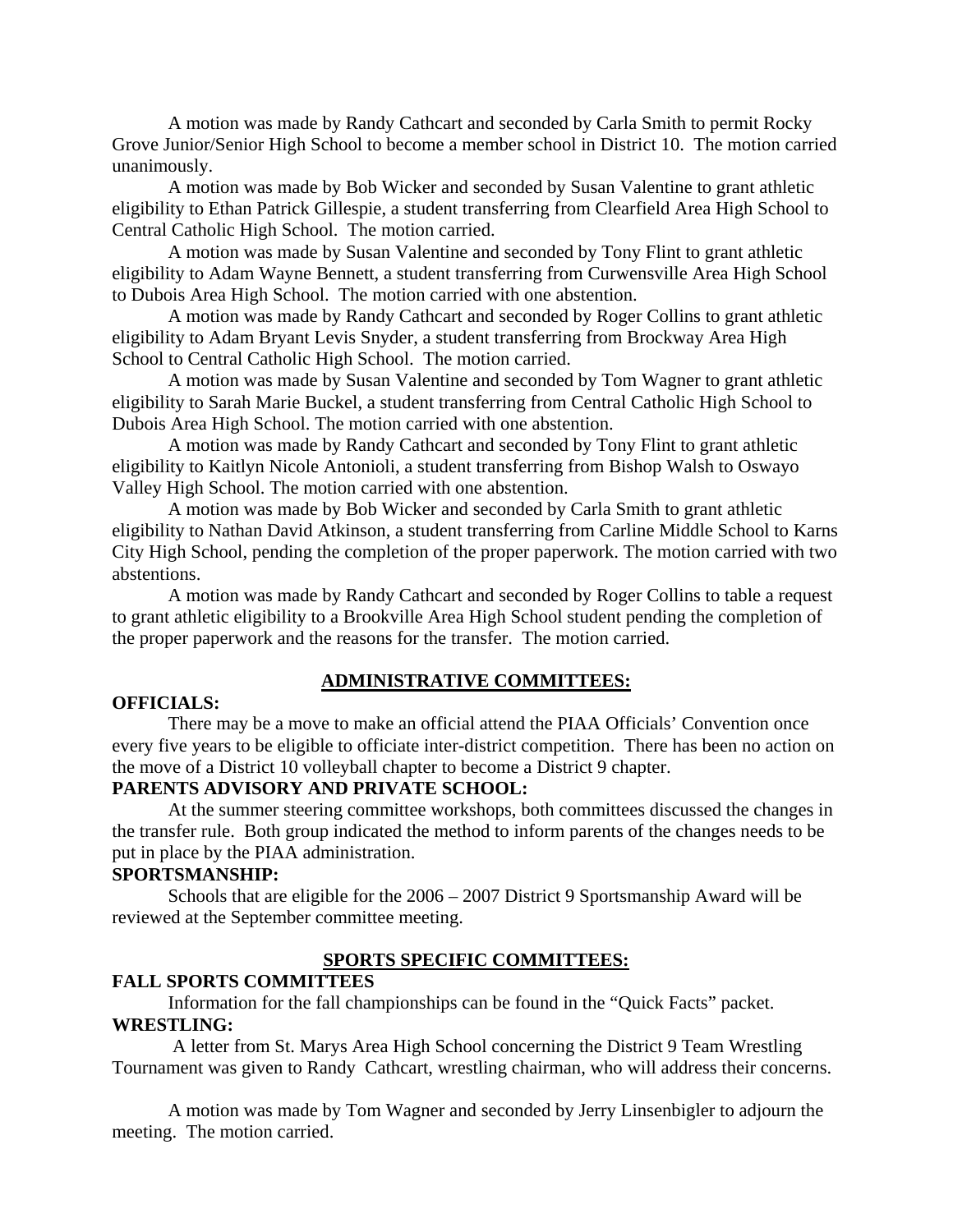A motion was made by Randy Cathcart and seconded by Carla Smith to permit Rocky Grove Junior/Senior High School to become a member school in District 10. The motion carried unanimously.

 A motion was made by Bob Wicker and seconded by Susan Valentine to grant athletic eligibility to Ethan Patrick Gillespie, a student transferring from Clearfield Area High School to Central Catholic High School. The motion carried.

 A motion was made by Susan Valentine and seconded by Tony Flint to grant athletic eligibility to Adam Wayne Bennett, a student transferring from Curwensville Area High School to Dubois Area High School. The motion carried with one abstention.

 A motion was made by Randy Cathcart and seconded by Roger Collins to grant athletic eligibility to Adam Bryant Levis Snyder, a student transferring from Brockway Area High School to Central Catholic High School. The motion carried.

 A motion was made by Susan Valentine and seconded by Tom Wagner to grant athletic eligibility to Sarah Marie Buckel, a student transferring from Central Catholic High School to Dubois Area High School. The motion carried with one abstention.

 A motion was made by Randy Cathcart and seconded by Tony Flint to grant athletic eligibility to Kaitlyn Nicole Antonioli, a student transferring from Bishop Walsh to Oswayo Valley High School. The motion carried with one abstention.

 A motion was made by Bob Wicker and seconded by Carla Smith to grant athletic eligibility to Nathan David Atkinson, a student transferring from Carline Middle School to Karns City High School, pending the completion of the proper paperwork. The motion carried with two abstentions.

 A motion was made by Randy Cathcart and seconded by Roger Collins to table a request to grant athletic eligibility to a Brookville Area High School student pending the completion of the proper paperwork and the reasons for the transfer. The motion carried.

#### **OFFICIALS:**

#### **ADMINISTRATIVE COMMITTEES:**

 There may be a move to make an official attend the PIAA Officials' Convention once every five years to be eligible to officiate inter-district competition. There has been no action on the move of a District 10 volleyball chapter to become a District 9 chapter.

## **PARENTS ADVISORY AND PRIVATE SCHOOL:**

 At the summer steering committee workshops, both committees discussed the changes in the transfer rule. Both group indicated the method to inform parents of the changes needs to be put in place by the PIAA administration.

# **SPORTSMANSHIP:**

 Schools that are eligible for the 2006 – 2007 District 9 Sportsmanship Award will be reviewed at the September committee meeting.

### **SPORTS SPECIFIC COMMITTEES:**

## **FALL SPORTS COMMITTEES**

 Information for the fall championships can be found in the "Quick Facts" packet. **WRESTLING:** 

 A letter from St. Marys Area High School concerning the District 9 Team Wrestling Tournament was given to Randy Cathcart, wrestling chairman, who will address their concerns.

A motion was made by Tom Wagner and seconded by Jerry Linsenbigler to adjourn the meeting. The motion carried.